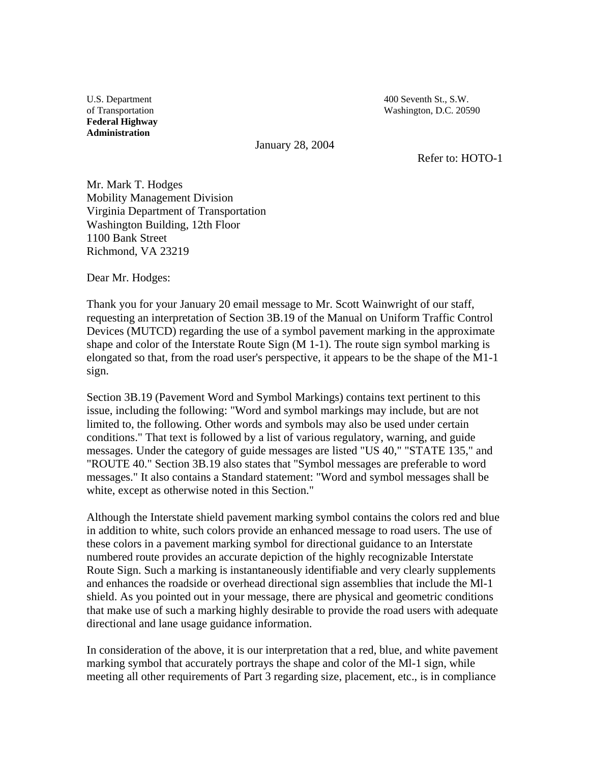U.S. Department 400 Seventh St., S.W. of Transportation Washington, D.C. 20590

**Federal Highway Administration** 

January 28, 2004

Refer to: HOTO-1

Mr. Mark T. Hodges Mobility Management Division Virginia Department of Transportation Washington Building, 12th Floor 1100 Bank Street Richmond, VA 23219

Dear Mr. Hodges:

Thank you for your January 20 email message to Mr. Scott Wainwright of our staff, requesting an interpretation of Section 3B.19 of the Manual on Uniform Traffic Control Devices (MUTCD) regarding the use of a symbol pavement marking in the approximate shape and color of the Interstate Route Sign (M 1-1). The route sign symbol marking is elongated so that, from the road user's perspective, it appears to be the shape of the M1-1 sign.

Section 3B.19 (Pavement Word and Symbol Markings) contains text pertinent to this issue, including the following: "Word and symbol markings may include, but are not limited to, the following. Other words and symbols may also be used under certain conditions." That text is followed by a list of various regulatory, warning, and guide messages. Under the category of guide messages are listed "US 40," "STATE 135," and "ROUTE 40." Section 3B.19 also states that "Symbol messages are preferable to word messages." It also contains a Standard statement: "Word and symbol messages shall be white, except as otherwise noted in this Section."

Although the Interstate shield pavement marking symbol contains the colors red and blue in addition to white, such colors provide an enhanced message to road users. The use of these colors in a pavement marking symbol for directional guidance to an Interstate numbered route provides an accurate depiction of the highly recognizable Interstate Route Sign. Such a marking is instantaneously identifiable and very clearly supplements and enhances the roadside or overhead directional sign assemblies that include the Ml-1 shield. As you pointed out in your message, there are physical and geometric conditions that make use of such a marking highly desirable to provide the road users with adequate directional and lane usage guidance information.

In consideration of the above, it is our interpretation that a red, blue, and white pavement marking symbol that accurately portrays the shape and color of the Ml-1 sign, while meeting all other requirements of Part 3 regarding size, placement, etc., is in compliance